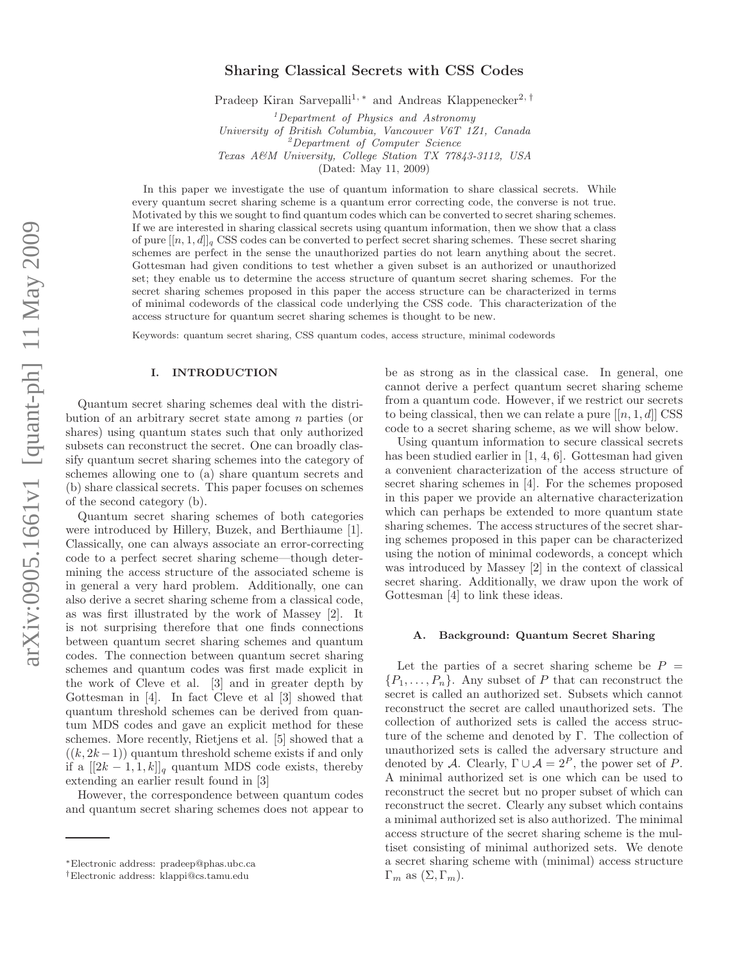# Sharing Classical Secrets with CSS Codes

Pradeep Kiran Sarvepalli<sup>1,∗</sup> and Andreas Klappenecker<sup>2,†</sup>

 $1$ Department of Physics and Astronomy

University of British Columbia, Vancouver V6T 1Z1, Canada

<sup>2</sup>Department of Computer Science

Texas A&M University, College Station TX 77843-3112, USA

(Dated: May 11, 2009)

In this paper we investigate the use of quantum information to share classical secrets. While every quantum secret sharing scheme is a quantum error correcting code, the converse is not true. Motivated by this we sought to find quantum codes which can be converted to secret sharing schemes. If we are interested in sharing classical secrets using quantum information, then we show that a class of pure  $[[n, 1, d]]_q$  CSS codes can be converted to perfect secret sharing schemes. These secret sharing schemes are perfect in the sense the unauthorized parties do not learn anything about the secret. Gottesman had given conditions to test whether a given subset is an authorized or unauthorized set; they enable us to determine the access structure of quantum secret sharing schemes. For the secret sharing schemes proposed in this paper the access structure can be characterized in terms of minimal codewords of the classical code underlying the CSS code. This characterization of the access structure for quantum secret sharing schemes is thought to be new.

Keywords: quantum secret sharing, CSS quantum codes, access structure, minimal codewords

#### I. INTRODUCTION

Quantum secret sharing schemes deal with the distribution of an arbitrary secret state among n parties (or shares) using quantum states such that only authorized subsets can reconstruct the secret. One can broadly classify quantum secret sharing schemes into the category of schemes allowing one to (a) share quantum secrets and (b) share classical secrets. This paper focuses on schemes of the second category (b).

Quantum secret sharing schemes of both categories were introduced by Hillery, Buzek, and Berthiaume [1]. Classically, one can always associate an error-correcting code to a perfect secret sharing scheme—though determining the access structure of the associated scheme is in general a very hard problem. Additionally, one can also derive a secret sharing scheme from a classical code, as was first illustrated by the work of Massey [2]. It is not surprising therefore that one finds connections between quantum secret sharing schemes and quantum codes. The connection between quantum secret sharing schemes and quantum codes was first made explicit in the work of Cleve et al. [3] and in greater depth by Gottesman in [4]. In fact Cleve et al [3] showed that quantum threshold schemes can be derived from quantum MDS codes and gave an explicit method for these schemes. More recently, Rietjens et al. [5] showed that a  $((k, 2k-1))$  quantum threshold scheme exists if and only if a  $[[2k-1,1,k]]_q$  quantum MDS code exists, thereby extending an earlier result found in [3]

However, the correspondence between quantum codes and quantum secret sharing schemes does not appear to be as strong as in the classical case. In general, one cannot derive a perfect quantum secret sharing scheme from a quantum code. However, if we restrict our secrets to being classical, then we can relate a pure  $[[n, 1, d]]$  CSS code to a secret sharing scheme, as we will show below.

Using quantum information to secure classical secrets has been studied earlier in [1, 4, 6]. Gottesman had given a convenient characterization of the access structure of secret sharing schemes in [4]. For the schemes proposed in this paper we provide an alternative characterization which can perhaps be extended to more quantum state sharing schemes. The access structures of the secret sharing schemes proposed in this paper can be characterized using the notion of minimal codewords, a concept which was introduced by Massey [2] in the context of classical secret sharing. Additionally, we draw upon the work of Gottesman [4] to link these ideas.

#### A. Background: Quantum Secret Sharing

Let the parties of a secret sharing scheme be  $P =$  $\{P_1, \ldots, P_n\}$ . Any subset of P that can reconstruct the secret is called an authorized set. Subsets which cannot reconstruct the secret are called unauthorized sets. The collection of authorized sets is called the access structure of the scheme and denoted by Γ. The collection of unauthorized sets is called the adversary structure and denoted by A. Clearly,  $\Gamma \cup A = 2^P$ , the power set of P. A minimal authorized set is one which can be used to reconstruct the secret but no proper subset of which can reconstruct the secret. Clearly any subset which contains a minimal authorized set is also authorized. The minimal access structure of the secret sharing scheme is the multiset consisting of minimal authorized sets. We denote a secret sharing scheme with (minimal) access structure  $\Gamma_m$  as  $(\Sigma, \Gamma_m)$ .

<sup>∗</sup>Electronic address: pradeep@phas.ubc.ca

<sup>†</sup>Electronic address: klappi@cs.tamu.edu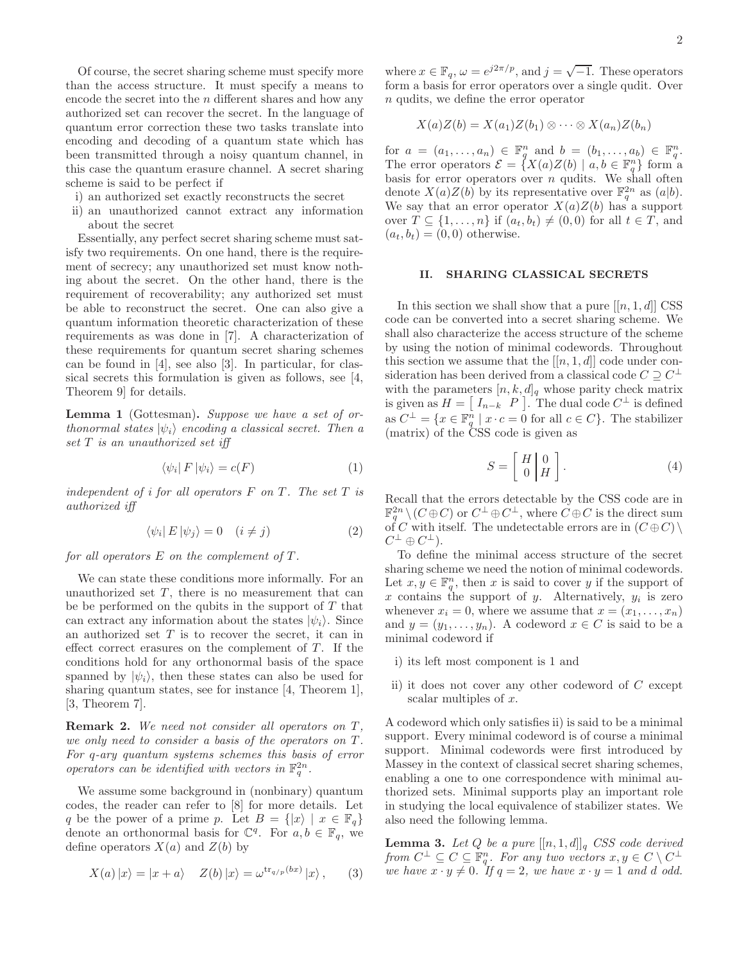Of course, the secret sharing scheme must specify more than the access structure. It must specify a means to encode the secret into the  $n$  different shares and how any authorized set can recover the secret. In the language of quantum error correction these two tasks translate into encoding and decoding of a quantum state which has been transmitted through a noisy quantum channel, in this case the quantum erasure channel. A secret sharing scheme is said to be perfect if

- i) an authorized set exactly reconstructs the secret
- ii) an unauthorized cannot extract any information about the secret

Essentially, any perfect secret sharing scheme must satisfy two requirements. On one hand, there is the requirement of secrecy; any unauthorized set must know nothing about the secret. On the other hand, there is the requirement of recoverability; any authorized set must be able to reconstruct the secret. One can also give a quantum information theoretic characterization of these requirements as was done in [7]. A characterization of these requirements for quantum secret sharing schemes can be found in [4], see also [3]. In particular, for classical secrets this formulation is given as follows, see [4, Theorem 9] for details.

Lemma 1 (Gottesman). Suppose we have a set of orthonormal states  $|\psi_i\rangle$  encoding a classical secret. Then a set T is an unauthorized set iff

$$
\langle \psi_i | F | \psi_i \rangle = c(F) \tag{1}
$$

independent of i for all operators  $F$  on  $T$ . The set  $T$  is authorized iff

$$
\langle \psi_i | E | \psi_j \rangle = 0 \quad (i \neq j)
$$
 (2)

for all operators  $E$  on the complement of  $T$ .

We can state these conditions more informally. For an unauthorized set  $T$ , there is no measurement that can be be performed on the qubits in the support of  $T$  that can extract any information about the states  $|\psi_i\rangle$ . Since an authorized set  $T$  is to recover the secret, it can in effect correct erasures on the complement of  $T$ . If the conditions hold for any orthonormal basis of the space spanned by  $|\psi_i\rangle$ , then these states can also be used for sharing quantum states, see for instance [4, Theorem 1], [3, Theorem 7].

**Remark 2.** We need not consider all operators on  $T$ , we only need to consider a basis of the operators on  $T$ . For q-ary quantum systems schemes this basis of error operators can be identified with vectors in  $\mathbb{F}_q^{2n}$ .

We assume some background in (nonbinary) quantum codes, the reader can refer to [8] for more details. Let q be the power of a prime p. Let  $B = \{ |x\rangle \mid x \in \mathbb{F}_q \}$ denote an orthonormal basis for  $\mathbb{C}^q$ . For  $a, b \in \mathbb{F}_q$ , we define operators  $X(a)$  and  $Z(b)$  by

$$
X(a) |x\rangle = |x + a\rangle \quad Z(b) |x\rangle = \omega^{\text{tr}_{q/p}(bx)} |x\rangle, \quad (3)
$$

where  $x \in \mathbb{F}_q$ ,  $\omega = e^{j2\pi/p}$ , and  $j = \sqrt{-1}$ . These operators form a basis for error operators over a single qudit. Over n qudits, we define the error operator

$$
X(a)Z(b) = X(a_1)Z(b_1) \otimes \cdots \otimes X(a_n)Z(b_n)
$$

for  $a = (a_1, ..., a_n) \in \mathbb{F}_q^n$  and  $b = (b_1, ..., a_b) \in \mathbb{F}_q^n$ . The error operators  $\mathcal{E} = \{X(a)Z(b) \mid a, b \in \mathbb{F}_q^n\}$  form a basis for error operators over  $n$  qudits. We shall often denote  $X(a)Z(b)$  by its representative over  $\mathbb{F}_q^{2n}$  as  $(a|b)$ . We say that an error operator  $X(a)Z(b)$  has a support over  $T \subseteq \{1, \ldots, n\}$  if  $(a_t, b_t) \neq (0, 0)$  for all  $t \in T$ , and  $(a_t, b_t) = (0, 0)$  otherwise.

## II. SHARING CLASSICAL SECRETS

In this section we shall show that a pure  $[[n, 1, d]]$  CSS code can be converted into a secret sharing scheme. We shall also characterize the access structure of the scheme by using the notion of minimal codewords. Throughout this section we assume that the  $[[n, 1, d]]$  code under consideration has been derived from a classical code  $C \supseteq C^{\perp}$ with the parameters  $[n, k, d]_q$  whose parity check matrix is given as  $H = \begin{bmatrix} I_{n-k} & P \end{bmatrix}$ . The dual code  $C^{\perp}$  is defined as  $C^{\perp} = \{x \in \mathbb{F}_q^n \mid x \cdot c = 0 \text{ for all } c \in C\}.$  The stabilizer (matrix) of the CSS code is given as

$$
S = \left[ \begin{array}{c} H \\ 0 \end{array} \right] \left[ \begin{array}{c} 0 \\ H \end{array} \right]. \tag{4}
$$

Recall that the errors detectable by the CSS code are in  $\mathbb{F}_q^{2n} \setminus (C \oplus C)$  or  $C^{\perp} \oplus C^{\perp}$ , where  $C \oplus C$  is the direct sum of C with itself. The undetectable errors are in  $(C \oplus C)$  $C^{\perp} \oplus C^{\perp}$ ).

To define the minimal access structure of the secret sharing scheme we need the notion of minimal codewords. Let  $x, y \in \mathbb{F}_q^n$ , then x is said to cover y if the support of x contains the support of y. Alternatively,  $y_i$  is zero whenever  $x_i = 0$ , where we assume that  $x = (x_1, \ldots, x_n)$ and  $y = (y_1, \ldots, y_n)$ . A codeword  $x \in C$  is said to be a minimal codeword if

- i) its left most component is 1 and
- ii) it does not cover any other codeword of C except scalar multiples of x.

A codeword which only satisfies ii) is said to be a minimal support. Every minimal codeword is of course a minimal support. Minimal codewords were first introduced by Massey in the context of classical secret sharing schemes, enabling a one to one correspondence with minimal authorized sets. Minimal supports play an important role in studying the local equivalence of stabilizer states. We also need the following lemma.

**Lemma 3.** Let Q be a pure  $[[n, 1, d]]_q$  CSS code derived from  $C^{\perp} \subseteq C \subseteq \mathbb{F}_{q_{\bullet}}^n$  For any two vectors  $x, y \in C \setminus C^{\perp}$ we have  $x \cdot y \neq 0$ . If  $q = 2$ , we have  $x \cdot y = 1$  and d odd.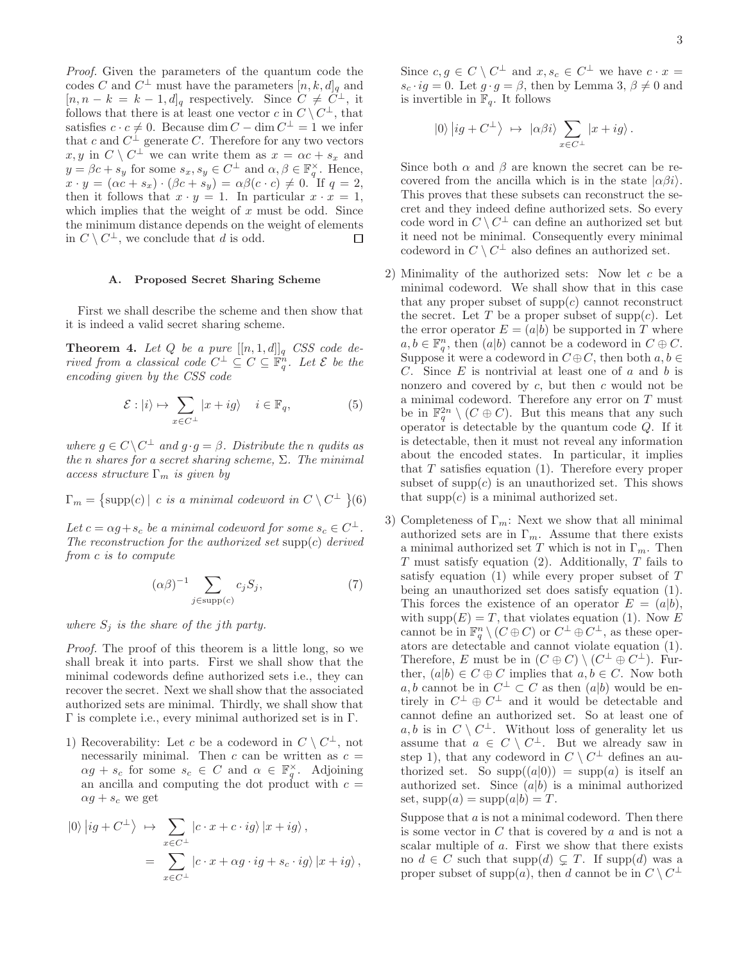Proof. Given the parameters of the quantum code the codes C and  $C^{\perp}$  must have the parameters  $[n, k, d]_q$  and  $[n, n-k] = k-1, d]_q$  respectively. Since  $C \neq C^{\perp}$ , it follows that there is at least one vector c in  $C \setminus C^{\perp}$ , that satisfies  $c \cdot c \neq 0$ . Because  $\dim C - \dim C^{\perp} = 1$  we infer that c and  $C^{\perp}$  generate C. Therefore for any two vectors  $x, y \text{ in } C \setminus C^{\perp}$  we can write them as  $x = \alpha c + s_x$  and  $y = \beta c + s_y$  for some  $s_x, s_y \in C^{\perp}$  and  $\alpha, \beta \in \mathbb{F}_q^{\times}$ . Hence,  $x \cdot y = (\alpha c + s_x) \cdot (\beta c + s_y) = \alpha \beta (c \cdot c) \neq 0$ . If  $q = 2$ , then it follows that  $x \cdot y = 1$ . In particular  $x \cdot x = 1$ , which implies that the weight of  $x$  must be odd. Since the minimum distance depends on the weight of elements in  $C \setminus C^{\perp}$ , we conclude that d is odd.  $\Box$ 

## A. Proposed Secret Sharing Scheme

First we shall describe the scheme and then show that it is indeed a valid secret sharing scheme.

**Theorem 4.** Let Q be a pure  $[[n, 1, d]]_q$  CSS code derived from a classical code  $C^{\perp} \subseteq C \subseteq \mathbb{F}_q^n$ . Let  $\mathcal{E}$  be the encoding given by the CSS code

$$
\mathcal{E}: |i\rangle \mapsto \sum_{x \in C^{\perp}} |x + ig\rangle \quad i \in \mathbb{F}_q,
$$
 (5)

where  $g \in C \backslash C^{\perp}$  and  $g \cdot g = \beta$ . Distribute the n qudits as the n shares for a secret sharing scheme,  $\Sigma$ . The minimal access structure  $\Gamma_m$  is given by

$$
\Gamma_m = \{ \text{supp}(c) \mid c \text{ is a minimal codeword in } C \setminus C^{\perp} \}(6)
$$

Let  $c = \alpha g + s_c$  be a minimal codeword for some  $s_c \in C^{\perp}$ . The reconstruction for the authorized set  $supp(c)$  derived from c is to compute

$$
(\alpha \beta)^{-1} \sum_{j \in \text{supp}(c)} c_j S_j,\tag{7}
$$

where  $S_i$  is the share of the jth party.

Proof. The proof of this theorem is a little long, so we shall break it into parts. First we shall show that the minimal codewords define authorized sets i.e., they can recover the secret. Next we shall show that the associated authorized sets are minimal. Thirdly, we shall show that Γ is complete i.e., every minimal authorized set is in Γ.

1) Recoverability: Let c be a codeword in  $C \setminus C^{\perp}$ , not necessarily minimal. Then  $c$  can be written as  $c =$  $\alpha g + s_c$  for some  $s_c \in C$  and  $\alpha \in \mathbb{F}_q^{\times}$ . Adjoining an ancilla and computing the dot product with  $c =$  $\alpha g + s_c$  we get

$$
\begin{aligned} \left|0\right\rangle\left|ig + C^{\perp}\right\rangle &\mapsto \sum_{x \in C^{\perp}} \left|c \cdot x + c \cdot ig\right\rangle\left|x + ig\right\rangle, \\ &= \sum_{x \in C^{\perp}} \left|c \cdot x + \alpha g \cdot ig + s_c \cdot ig\right\rangle\left|x + ig\right\rangle, \end{aligned}
$$

Since  $c, g \in C \setminus C^{\perp}$  and  $x, s_c \in C^{\perp}$  we have  $c \cdot x =$  $s_c \cdot ig = 0$ . Let  $g \cdot g = \beta$ , then by Lemma 3,  $\beta \neq 0$  and is invertible in  $\mathbb{F}_q$ . It follows

$$
|0\rangle |ig + C^{\perp}\rangle \ \mapsto \ |\alpha\beta i\rangle \sum_{x \in C^{\perp}} |x + ig\rangle.
$$

Since both  $\alpha$  and  $\beta$  are known the secret can be recovered from the ancilla which is in the state  $|\alpha \beta i\rangle$ . This proves that these subsets can reconstruct the secret and they indeed define authorized sets. So every code word in  $C \setminus C^{\perp}$  can define an authorized set but it need not be minimal. Consequently every minimal codeword in  $C \setminus C^{\perp}$  also defines an authorized set.

- 2) Minimality of the authorized sets: Now let c be a minimal codeword. We shall show that in this case that any proper subset of  $supp(c)$  cannot reconstruct the secret. Let T be a proper subset of supp $(c)$ . Let the error operator  $E = (a|b)$  be supported in T where  $a, b \in \mathbb{F}_q^n$ , then  $(a|b)$  cannot be a codeword in  $C \oplus C$ . Suppose it were a codeword in  $C \oplus C$ , then both  $a, b \in$ C. Since  $E$  is nontrivial at least one of  $a$  and  $b$  is nonzero and covered by  $c$ , but then  $c$  would not be a minimal codeword. Therefore any error on  $T$  must be in  $\mathbb{F}_q^{2n} \setminus (C \oplus C)$ . But this means that any such operator is detectable by the quantum code  $Q$ . If it is detectable, then it must not reveal any information about the encoded states. In particular, it implies that  $T$  satisfies equation (1). Therefore every proper subset of  $supp(c)$  is an unauthorized set. This shows that  $supp(c)$  is a minimal authorized set.
- 3) Completeness of  $\Gamma_m$ : Next we show that all minimal authorized sets are in  $\Gamma_m$ . Assume that there exists a minimal authorized set T which is not in  $\Gamma_m$ . Then  $T$  must satisfy equation (2). Additionally,  $T$  fails to satisfy equation  $(1)$  while every proper subset of  $T$ being an unauthorized set does satisfy equation (1). This forces the existence of an operator  $E = (a|b)$ , with supp $(E) = T$ , that violates equation (1). Now E cannot be in  $\mathbb{F}_q^n \setminus (C \oplus C)$  or  $C^{\perp} \oplus C^{\perp}$ , as these operators are detectable and cannot violate equation (1). Therefore, E must be in  $(C \oplus C) \setminus (C^{\perp} \oplus C^{\perp})$ . Further,  $(a|b) \in C \oplus C$  implies that  $a, b \in C$ . Now both  $a, b$  cannot be in  $C^{\perp} \subset C$  as then  $(a|b)$  would be entirely in  $C^{\perp} \oplus C^{\perp}$  and it would be detectable and cannot define an authorized set. So at least one of  $a, b$  is in  $C \setminus C^{\perp}$ . Without loss of generality let us assume that  $a \in C \setminus C^{\perp}$ . But we already saw in step 1), that any codeword in  $C \setminus C^{\perp}$  defines an authorized set. So  $supp((a|0)) = supp(a)$  is itself an authorized set. Since  $(a|b)$  is a minimal authorized set,  $supp(a) = supp(a|b) = T$ .

Suppose that  $a$  is not a minimal codeword. Then there is some vector in C that is covered by a and is not a scalar multiple of a. First we show that there exists no  $d \in C$  such that  $\text{supp}(d) \subsetneq T$ . If  $\text{supp}(d)$  was a proper subset of supp(a), then d cannot be in  $C \setminus C^{\perp}$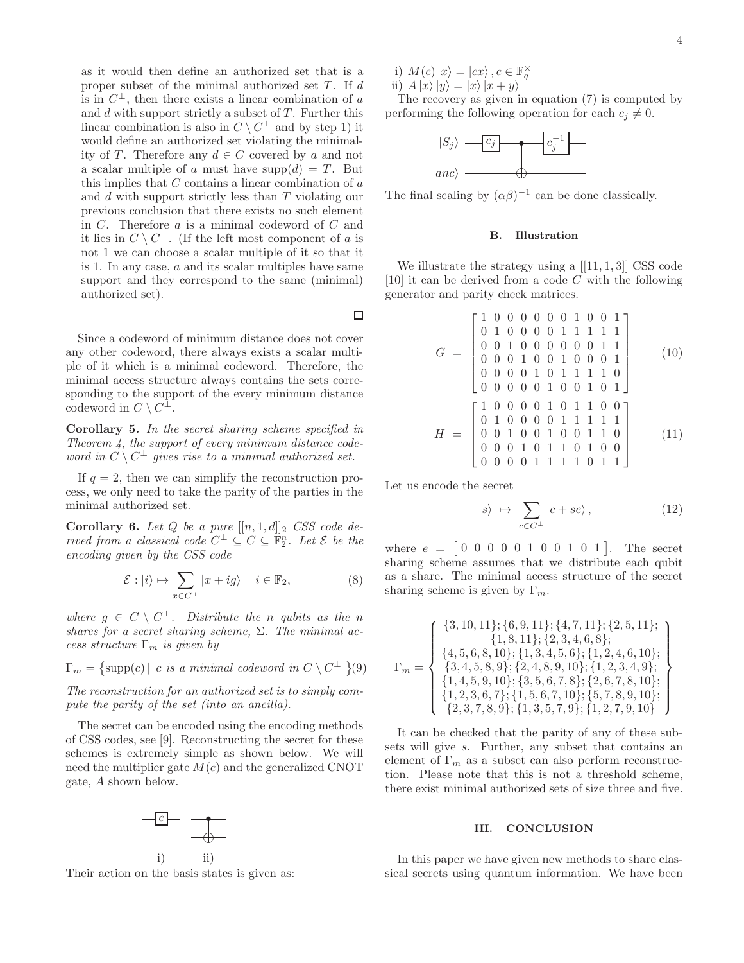as it would then define an authorized set that is a proper subset of the minimal authorized set  $T$ . If  $d$ is in  $C^{\perp}$ , then there exists a linear combination of a and  $d$  with support strictly a subset of  $T$ . Further this linear combination is also in  $C \setminus C^{\perp}$  and by step 1) it would define an authorized set violating the minimality of T. Therefore any  $d \in C$  covered by a and not a scalar multiple of a must have  $\text{supp}(d) = T$ . But this implies that  $C$  contains a linear combination of  $a$ and d with support strictly less than T violating our previous conclusion that there exists no such element in C. Therefore a is a minimal codeword of C and it lies in  $C \setminus C^{\perp}$ . (If the left most component of a is not 1 we can choose a scalar multiple of it so that it is 1. In any case, a and its scalar multiples have same support and they correspond to the same (minimal) authorized set).

Since a codeword of minimum distance does not cover any other codeword, there always exists a scalar multiple of it which is a minimal codeword. Therefore, the minimal access structure always contains the sets corresponding to the support of the every minimum distance codeword in  $C \setminus C^{\perp}$ .

Corollary 5. In the secret sharing scheme specified in Theorem 4, the support of every minimum distance codeword in  $C \setminus C^{\perp}$  gives rise to a minimal authorized set.

If  $q = 2$ , then we can simplify the reconstruction process, we only need to take the parity of the parties in the minimal authorized set.

Corollary 6. Let Q be a pure  $[[n, 1, d]]_2$  CSS code derived from a classical code  $C^{\perp} \subseteq C \subseteq \mathbb{F}_2^n$ . Let  $\mathcal{E}$  be the encoding given by the CSS code

$$
\mathcal{E}: |i\rangle \mapsto \sum_{x \in C^{\perp}} |x + ig\rangle \quad i \in \mathbb{F}_2,
$$
 (8)

where  $g \in C \setminus C^{\perp}$ . Distribute the n qubits as the n shares for a secret sharing scheme,  $\Sigma$ . The minimal access structure  $\Gamma_m$  is given by

$$
\Gamma_m = \{ \text{supp}(c) \mid c \text{ is a minimal codeword in } C \setminus C^{\perp} \}(9)
$$

The reconstruction for an authorized set is to simply compute the parity of the set (into an ancilla).

The secret can be encoded using the encoding methods of CSS codes, see [9]. Reconstructing the secret for these schemes is extremely simple as shown below. We will need the multiplier gate  $M(c)$  and the generalized CNOT gate, A shown below.



Their action on the basis states is given as:

i)  $M(c)|x\rangle = |cx\rangle, c \in \mathbb{F}_q^{\times}$ ii)  $A |x\rangle |y\rangle = |x\rangle |x + y\rangle$ 

The recovery as given in equation (7) is computed by performing the following operation for each  $c_i \neq 0$ .



The final scaling by  $(\alpha\beta)^{-1}$  can be done classically.

## B. Illustration

We illustrate the strategy using a  $[[11, 1, 3]]$  CSS code [10] it can be derived from a code  $C$  with the following generator and parity check matrices.

$$
G = \begin{bmatrix} 1 & 0 & 0 & 0 & 0 & 0 & 1 & 0 & 0 & 1 \\ 0 & 1 & 0 & 0 & 0 & 0 & 1 & 1 & 1 & 1 \\ 0 & 0 & 1 & 0 & 0 & 0 & 0 & 0 & 1 & 1 \\ 0 & 0 & 0 & 1 & 0 & 0 & 1 & 0 & 0 & 1 \\ 0 & 0 & 0 & 0 & 1 & 0 & 1 & 1 & 1 & 1 & 0 \\ 0 & 0 & 0 & 0 & 1 & 0 & 1 & 1 & 1 & 1 & 0 \\ 0 & 1 & 0 & 0 & 0 & 1 & 0 & 1 & 1 & 1 & 1 \\ 0 & 1 & 0 & 0 & 0 & 0 & 1 & 1 & 1 & 1 & 1 \\ 0 & 0 & 0 & 1 & 0 & 1 & 1 & 0 & 1 & 0 \\ 0 & 0 & 0 & 1 & 1 & 1 & 0 & 1 & 0 & 0 \\ 0 & 0 & 0 & 0 & 1 & 1 & 1 & 0 & 1 & 1 \end{bmatrix}
$$
(11)

Let us encode the secret

 $\Box$ 

$$
|s\rangle \mapsto \sum_{c \in C^{\perp}} |c + se\rangle, \qquad (12)
$$

where  $e = \begin{bmatrix} 0 & 0 & 0 & 0 & 1 & 0 & 0 & 1 & 0 & 1 \end{bmatrix}$ . The secret sharing scheme assumes that we distribute each qubit as a share. The minimal access structure of the secret sharing scheme is given by  $\Gamma_m$ .

$$
\Gamma_m = \left\{ \begin{array}{c} \{3, 10, 11\}; \{6, 9, 11\}; \{4, 7, 11\}; \{2, 5, 11\}; \\ \{1, 8, 11\}; \{2, 3, 4, 6, 8\}; \\ \{4, 5, 6, 8, 10\}; \{1, 3, 4, 5, 6\}; \{1, 2, 4, 6, 10\}; \\ \{3, 4, 5, 8, 9\}; \{2, 4, 8, 9, 10\}; \{1, 2, 3, 4, 9\}; \\ \{1, 4, 5, 9, 10\}; \{3, 5, 6, 7, 8\}; \{2, 6, 7, 8, 10\}; \\ \{1, 2, 3, 6, 7\}; \{1, 5, 6, 7, 10\}; \{5, 7, 8, 9, 10\}; \\ \{2, 3, 7, 8, 9\}; \{1, 3, 5, 7, 9\}; \{1, 2, 7, 9, 10\} \end{array} \right\}
$$

It can be checked that the parity of any of these subsets will give s. Further, any subset that contains an element of  $\Gamma_m$  as a subset can also perform reconstruction. Please note that this is not a threshold scheme, there exist minimal authorized sets of size three and five.

#### III. CONCLUSION

In this paper we have given new methods to share classical secrets using quantum information. We have been